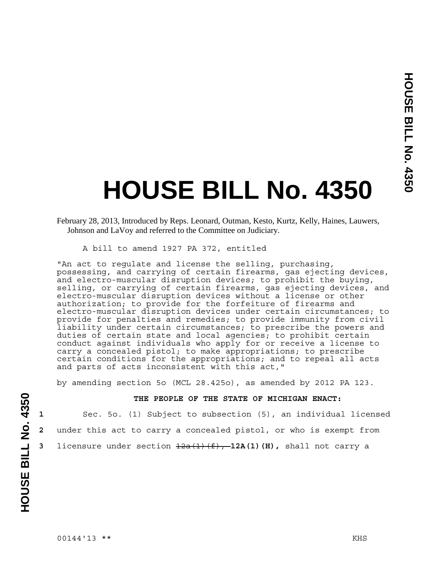## **HOUSE BILL No. 4350**

A bill to amend 1927 PA 372, entitled

"An act to regulate and license the selling, purchasing, possessing, and carrying of certain firearms, gas ejecting devices, and electro-muscular disruption devices; to prohibit the buying, selling, or carrying of certain firearms, gas ejecting devices, and electro-muscular disruption devices without a license or other authorization; to provide for the forfeiture of firearms and electro-muscular disruption devices under certain circumstances; to provide for penalties and remedies; to provide immunity from civil liability under certain circumstances; to prescribe the powers and duties of certain state and local agencies; to prohibit certain conduct against individuals who apply for or receive a license to carry a concealed pistol; to make appropriations; to prescribe certain conditions for the appropriations; and to repeal all acts and parts of acts inconsistent with this act,"

by amending section 5o (MCL 28.425o), as amended by 2012 PA 123.

## **THE PEOPLE OF THE STATE OF MICHIGAN ENACT:**

**1** Sec. 5o. (1) Subject to subsection (5), an individual licensed **2** under this act to carry a concealed pistol, or who is exempt from **3** licensure under section  $\frac{12a(1)(f)}{f}$ , **12A(1)(H)**, shall not carry a

February 28, 2013, Introduced by Reps. Leonard, Outman, Kesto, Kurtz, Kelly, Haines, Lauwers, Johnson and LaVoy and referred to the Committee on Judiciary.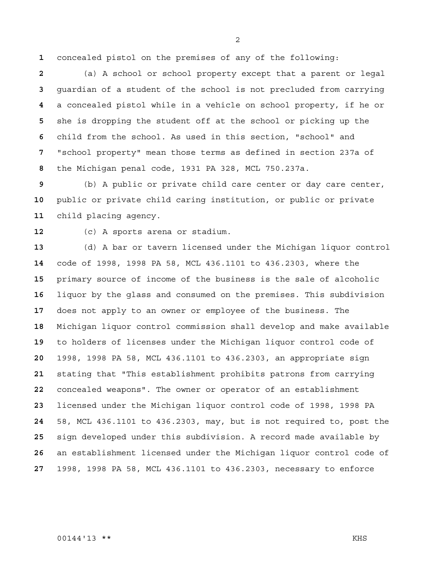concealed pistol on the premises of any of the following:

(a) A school or school property except that a parent or legal guardian of a student of the school is not precluded from carrying a concealed pistol while in a vehicle on school property, if he or she is dropping the student off at the school or picking up the child from the school. As used in this section, "school" and "school property" mean those terms as defined in section 237a of the Michigan penal code, 1931 PA 328, MCL 750.237a.

(b) A public or private child care center or day care center, public or private child caring institution, or public or private child placing agency.

(c) A sports arena or stadium.

(d) A bar or tavern licensed under the Michigan liquor control code of 1998, 1998 PA 58, MCL 436.1101 to 436.2303, where the primary source of income of the business is the sale of alcoholic liquor by the glass and consumed on the premises. This subdivision does not apply to an owner or employee of the business. The Michigan liquor control commission shall develop and make available to holders of licenses under the Michigan liquor control code of 1998, 1998 PA 58, MCL 436.1101 to 436.2303, an appropriate sign stating that "This establishment prohibits patrons from carrying concealed weapons". The owner or operator of an establishment licensed under the Michigan liquor control code of 1998, 1998 PA 58, MCL 436.1101 to 436.2303, may, but is not required to, post the sign developed under this subdivision. A record made available by an establishment licensed under the Michigan liquor control code of 1998, 1998 PA 58, MCL 436.1101 to 436.2303, necessary to enforce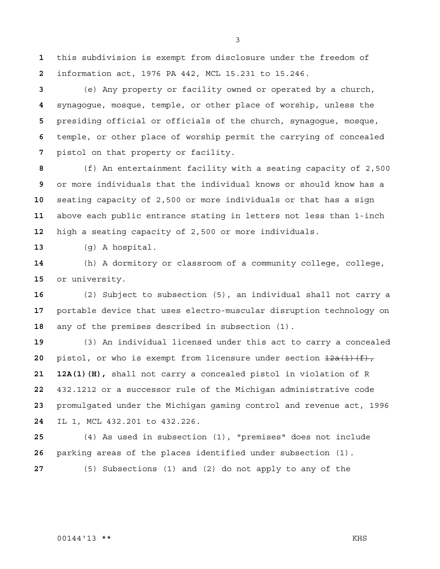this subdivision is exempt from disclosure under the freedom of information act, 1976 PA 442, MCL 15.231 to 15.246.

(e) Any property or facility owned or operated by a church, synagogue, mosque, temple, or other place of worship, unless the presiding official or officials of the church, synagogue, mosque, temple, or other place of worship permit the carrying of concealed pistol on that property or facility.

(f) An entertainment facility with a seating capacity of 2,500 or more individuals that the individual knows or should know has a seating capacity of 2,500 or more individuals or that has a sign above each public entrance stating in letters not less than 1-inch high a seating capacity of 2,500 or more individuals.

(g) A hospital.

(h) A dormitory or classroom of a community college, college, or university.

(2) Subject to subsection (5), an individual shall not carry a portable device that uses electro-muscular disruption technology on any of the premises described in subsection (1).

(3) An individual licensed under this act to carry a concealed pistol, or who is exempt from licensure under section  $\frac{12a(1)(f)}{f}$ , **21 12A(1)(H),** shall not carry a concealed pistol in violation of R 432.1212 or a successor rule of the Michigan administrative code promulgated under the Michigan gaming control and revenue act, 1996 IL 1, MCL 432.201 to 432.226.

(4) As used in subsection (1), "premises" does not include parking areas of the places identified under subsection (1).

(5) Subsections (1) and (2) do not apply to any of the

## 00144'13 \*\* KHS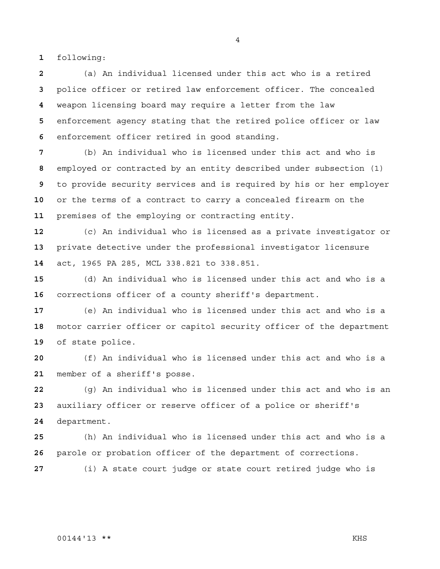following:

(a) An individual licensed under this act who is a retired police officer or retired law enforcement officer. The concealed weapon licensing board may require a letter from the law enforcement agency stating that the retired police officer or law enforcement officer retired in good standing.

(b) An individual who is licensed under this act and who is employed or contracted by an entity described under subsection (1) to provide security services and is required by his or her employer or the terms of a contract to carry a concealed firearm on the premises of the employing or contracting entity.

(c) An individual who is licensed as a private investigator or private detective under the professional investigator licensure act, 1965 PA 285, MCL 338.821 to 338.851.

(d) An individual who is licensed under this act and who is a corrections officer of a county sheriff's department.

(e) An individual who is licensed under this act and who is a motor carrier officer or capitol security officer of the department of state police.

(f) An individual who is licensed under this act and who is a member of a sheriff's posse.

(g) An individual who is licensed under this act and who is an auxiliary officer or reserve officer of a police or sheriff's department.

(h) An individual who is licensed under this act and who is a parole or probation officer of the department of corrections.

(i) A state court judge or state court retired judge who is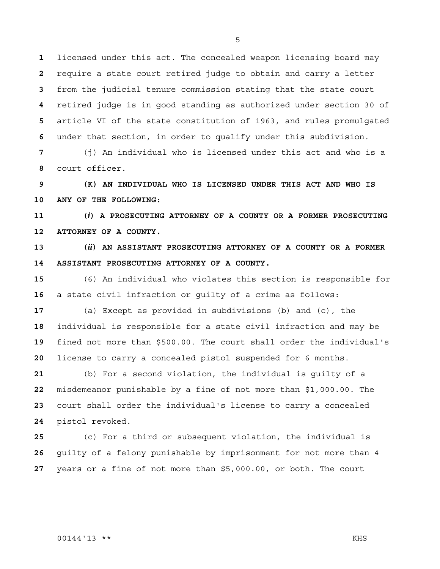licensed under this act. The concealed weapon licensing board may require a state court retired judge to obtain and carry a letter from the judicial tenure commission stating that the state court retired judge is in good standing as authorized under section 30 of article VI of the state constitution of 1963, and rules promulgated under that section, in order to qualify under this subdivision.

(j) An individual who is licensed under this act and who is a court officer.

**9 (K) AN INDIVIDUAL WHO IS LICENSED UNDER THIS ACT AND WHO IS 10 ANY OF THE FOLLOWING:** 

**11 (***i***) A PROSECUTING ATTORNEY OF A COUNTY OR A FORMER PROSECUTING 12 ATTORNEY OF A COUNTY.** 

**13 (***ii***) AN ASSISTANT PROSECUTING ATTORNEY OF A COUNTY OR A FORMER 14 ASSISTANT PROSECUTING ATTORNEY OF A COUNTY.**

(6) An individual who violates this section is responsible for a state civil infraction or guilty of a crime as follows:

(a) Except as provided in subdivisions (b) and (c), the individual is responsible for a state civil infraction and may be fined not more than \$500.00. The court shall order the individual's license to carry a concealed pistol suspended for 6 months.

(b) For a second violation, the individual is guilty of a misdemeanor punishable by a fine of not more than \$1,000.00. The court shall order the individual's license to carry a concealed pistol revoked.

(c) For a third or subsequent violation, the individual is guilty of a felony punishable by imprisonment for not more than 4 years or a fine of not more than \$5,000.00, or both. The court